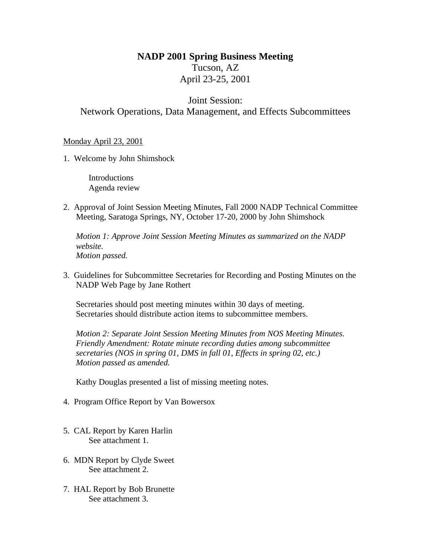## **NADP 2001 Spring Business Meeting** Tucson, AZ April 23-25, 2001

## Joint Session: Network Operations, Data Management, and Effects Subcommittees

## Monday April 23, 2001

1. Welcome by John Shimshock

Introductions Agenda review

2. Approval of Joint Session Meeting Minutes, Fall 2000 NADP Technical Committee Meeting, Saratoga Springs, NY, October 17-20, 2000 by John Shimshock

*Motion 1: Approve Joint Session Meeting Minutes as summarized on the NADP website. Motion passed.*

3. Guidelines for Subcommittee Secretaries for Recording and Posting Minutes on the NADP Web Page by Jane Rothert

Secretaries should post meeting minutes within 30 days of meeting. Secretaries should distribute action items to subcommittee members.

*Motion 2: Separate Joint Session Meeting Minutes from NOS Meeting Minutes. Friendly Amendment: Rotate minute recording duties among subcommittee secretaries (NOS in spring 01, DMS in fall 01, Effects in spring 02, etc.) Motion passed as amended.*

Kathy Douglas presented a list of missing meeting notes.

- 4. Program Office Report by Van Bowersox
- 5. CAL Report by Karen Harlin See attachment 1.
- 6. MDN Report by Clyde Sweet See attachment 2.
- 7. HAL Report by Bob Brunette See attachment 3.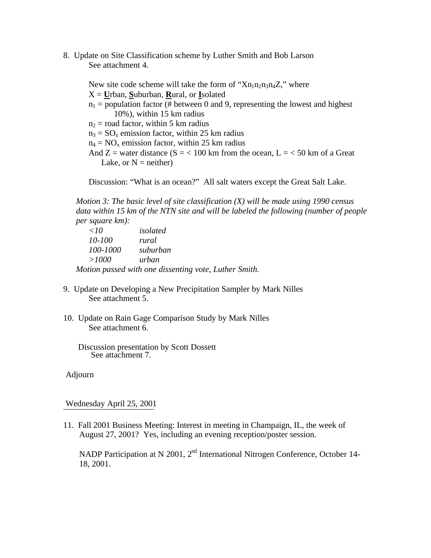8. Update on Site Classification scheme by Luther Smith and Bob Larson See attachment 4.

New site code scheme will take the form of " $Xn_1n_2n_3n_4Z$ ," where X = **U**rban, **S**uburban, **R**ural, or **I**solated  $n_1$  = population factor (# between 0 and 9, representing the lowest and highest 10%), within 15 km radius  $n_2$  = road factor, within 5 km radius  $n_3 = SO_x$  emission factor, within 25 km radius  $n_4$  = NO<sub>x</sub> emission factor, within 25 km radius And  $Z =$  water distance (S = < 100 km from the ocean, L = < 50 km of a Great Lake, or  $N =$  neither)

Discussion: "What is an ocean?" All salt waters except the Great Salt Lake.

*Motion 3: The basic level of site classification (X) will be made using 1990 census data within 15 km of the NTN site and will be labeled the following (number of people per square km):*

| $\langle$ 10 | isolated                                              |
|--------------|-------------------------------------------------------|
| 10-100       | rural                                                 |
| 100-1000     | suburban                                              |
| >1000        | urban                                                 |
|              | Motion passed with one dissenting vote, Luther Smith. |

- 9. Update on Developing a New Precipitation Sampler by Mark Nilles See attachment 5.
- 10. Update on Rain Gage Comparison Study by Mark Nilles See attachment 6.

 Discussion presentation by Scott Dossett See attachment 7..

Adjourn

Wednesday April 25, 2001

11. Fall 2001 Business Meeting: Interest in meeting in Champaign, IL, the week of August 27, 2001? Yes, including an evening reception/poster session.

NADP Participation at N 2001, 2<sup>nd</sup> International Nitrogen Conference, October 14-18, 2001.